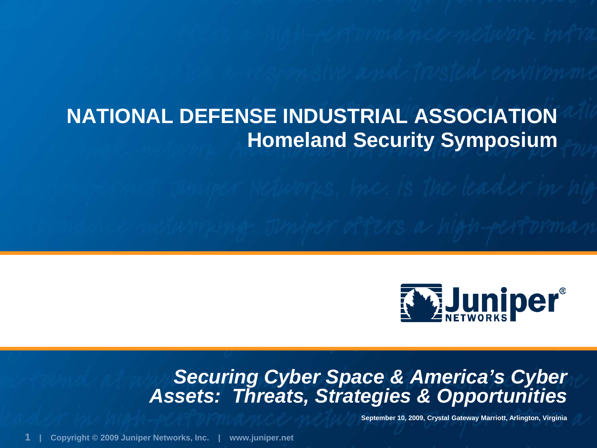## **NATIONAL DEFENSE INDUSTRIAL ASSOCIATION Homeland Security Symposium**



### *Securing Cyber Space & America's Cyber Assets: Threats, Strategies & Opportunities*

**September 10, 2009, Crystal Gateway Marriott, Arlington, Virginia**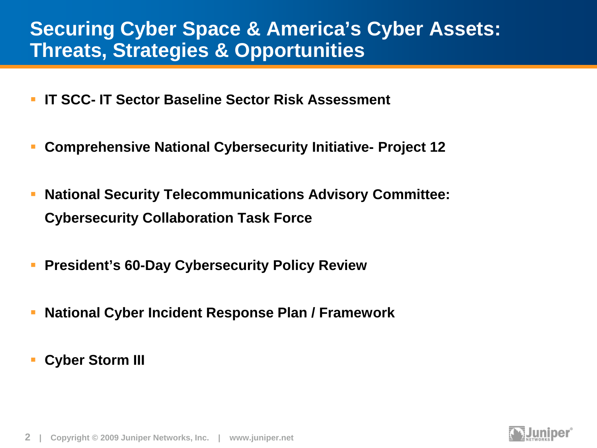### **Securing Cyber Space & America's Cyber Assets: Threats, Strategies & Opportunities**

- **IT SCC- IT Sector Baseline Sector Risk Assessment**
- **Comprehensive National Cybersecurity Initiative- Project 12**
- **National Security Telecommunications Advisory Committee: Cybersecurity Collaboration Task Force**
- **President's 60-Day Cybersecurity Policy Review**
- **National Cyber Incident Response Plan / Framework**
- **Cyber Storm III**

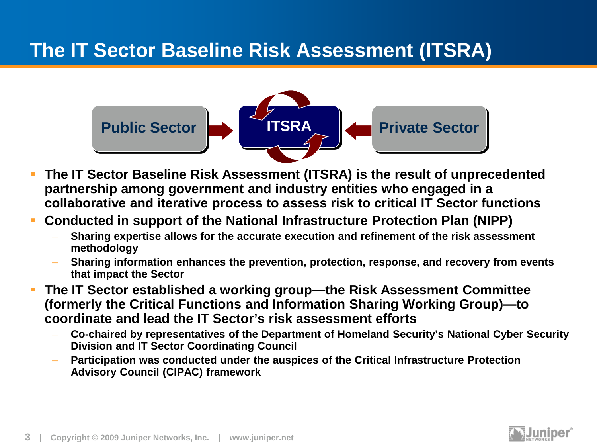## **The IT Sector Baseline Risk Assessment (ITSRA)**



- **The IT Sector Baseline Risk Assessment (ITSRA) is the result of unprecedented partnership among government and industry entities who engaged in a collaborative and iterative process to assess risk to critical IT Sector functions**
- **Conducted in support of the National Infrastructure Protection Plan (NIPP)**
	- **Sharing expertise allows for the accurate execution and refinement of the risk assessment methodology**
	- **Sharing information enhances the prevention, protection, response, and recovery from events that impact the Sector**
- **The IT Sector established a working group—the Risk Assessment Committee (formerly the Critical Functions and Information Sharing Working Group)—to coordinate and lead the IT Sector's risk assessment efforts** 
	- **Co-chaired by representatives of the Department of Homeland Security's National Cyber Security Division and IT Sector Coordinating Council**
	- **Participation was conducted under the auspices of the Critical Infrastructure Protection Advisory Council (CIPAC) framework**



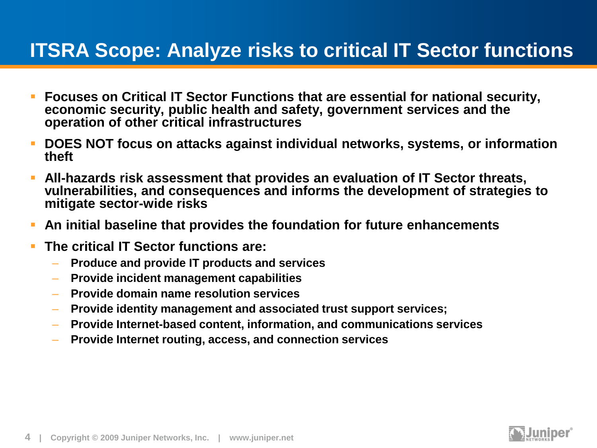### **ITSRA Scope: Analyze risks to critical IT Sector functions**

- **Focuses on Critical IT Sector Functions that are essential for national security, economic security, public health and safety, government services and the operation of other critical infrastructures**
- **DOES NOT focus on attacks against individual networks, systems, or information theft**
- **All-hazards risk assessment that provides an evaluation of IT Sector threats, vulnerabilities, and consequences and informs the development of strategies to mitigate sector-wide risks**
- **An initial baseline that provides the foundation for future enhancements**
- **The critical IT Sector functions are:**
	- **Produce and provide IT products and services**
	- **Provide incident management capabilities**
	- **Provide domain name resolution services**
	- **Provide identity management and associated trust support services;**
	- **Provide Internet-based content, information, and communications services**
	- **Provide Internet routing, access, and connection services**

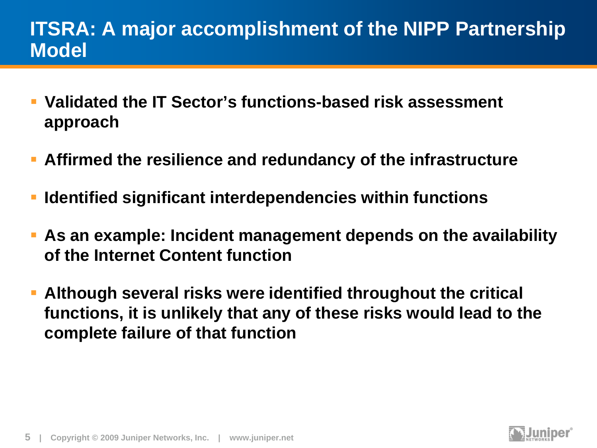### **ITSRA: A major accomplishment of the NIPP Partnership Model**

- **Validated the IT Sector's functions-based risk assessment approach**
- **Affirmed the resilience and redundancy of the infrastructure**
- **Identified significant interdependencies within functions**
- **As an example: Incident management depends on the availability of the Internet Content function**
- **Although several risks were identified throughout the critical functions, it is unlikely that any of these risks would lead to the complete failure of that function**

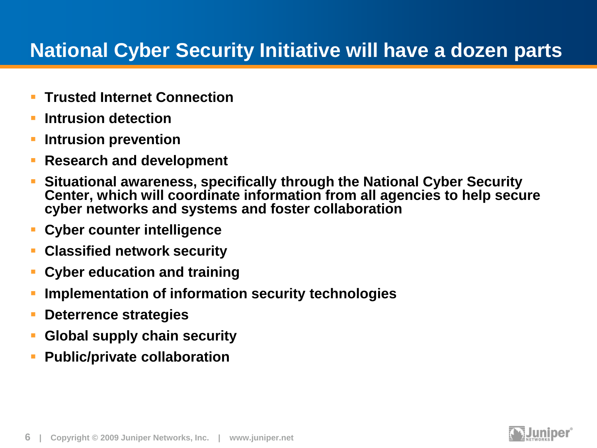## **National Cyber Security Initiative will have a dozen parts**

- **Trusted Internet Connection**
- **Intrusion detection**
- **Intrusion prevention**
- **Research and development**
- **Situational awareness, specifically through the National Cyber Security Center, which will coordinate information from all agencies to help secure cyber networks and systems and foster collaboration**
- **Cyber counter intelligence**
- **Classified network security**
- **Cyber education and training**
- **Implementation of information security technologies**
- **Deterrence strategies**
- **Global supply chain security**
- **Public/private collaboration**

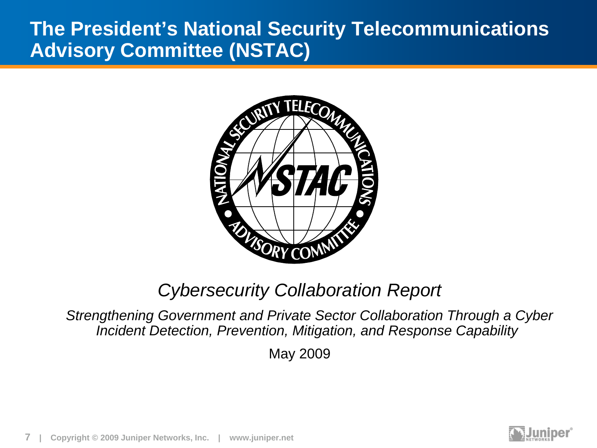### **The President's National Security Telecommunications Advisory Committee (NSTAC)**



### *Cybersecurity Collaboration Report*

*Strengthening Government and Private Sector Collaboration Through a Cyber Incident Detection, Prevention, Mitigation, and Response Capability*

May 2009

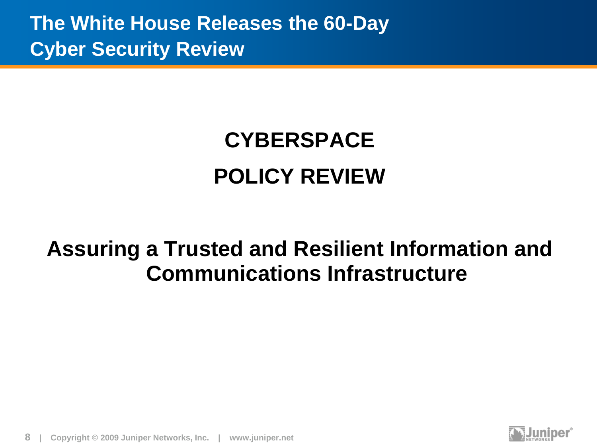**The White House Releases the 60-Day Cyber Security Review**

# **CYBERSPACE POLICY REVIEW**

## **Assuring a Trusted and Resilient Information and Communications Infrastructure**



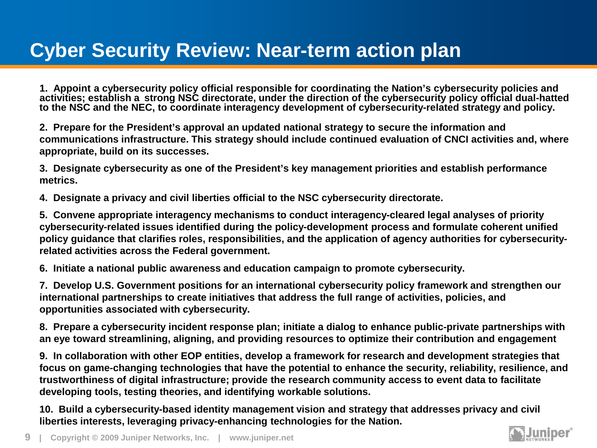**1. Appoint a cybersecurity policy official responsible for coordinating the Nation's cybersecurity policies and activities; establish a strong NSC directorate, under the direction of the cybersecurity policy official dual-hatted to the NSC and the NEC, to coordinate interagency development of cybersecurity-related strategy and policy.** 

**2. Prepare for the President's approval an updated national strategy to secure the information and communications infrastructure. This strategy should include continued evaluation of CNCI activities and, where appropriate, build on its successes.** 

**3. Designate cybersecurity as one of the President's key management priorities and establish performance metrics.** 

**4. Designate a privacy and civil liberties official to the NSC cybersecurity directorate.** 

**5. Convene appropriate interagency mechanisms to conduct interagency-cleared legal analyses of priority cybersecurity-related issues identified during the policy-development process and formulate coherent unified policy guidance that clarifies roles, responsibilities, and the application of agency authorities for cybersecurityrelated activities across the Federal government.** 

**6. Initiate a national public awareness and education campaign to promote cybersecurity.** 

**7. Develop U.S. Government positions for an international cybersecurity policy framework and strengthen our international partnerships to create initiatives that address the full range of activities, policies, and opportunities associated with cybersecurity.** 

**8. Prepare a cybersecurity incident response plan; initiate a dialog to enhance public-private partnerships with an eye toward streamlining, aligning, and providing resources to optimize their contribution and engagement** 

**9. In collaboration with other EOP entities, develop a framework for research and development strategies that focus on game-changing technologies that have the potential to enhance the security, reliability, resilience, and trustworthiness of digital infrastructure; provide the research community access to event data to facilitate developing tools, testing theories, and identifying workable solutions.** 

**10. Build a cybersecurity-based identity management vision and strategy that addresses privacy and civil liberties interests, leveraging privacy-enhancing technologies for the Nation.** 

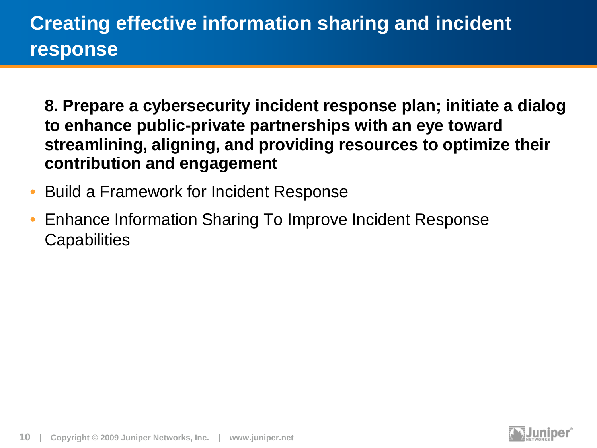## **Creating effective information sharing and incident response**

**8. Prepare a cybersecurity incident response plan; initiate a dialog to enhance public-private partnerships with an eye toward streamlining, aligning, and providing resources to optimize their contribution and engagement** 

- Build a Framework for Incident Response
- Enhance Information Sharing To Improve Incident Response **Capabilities**

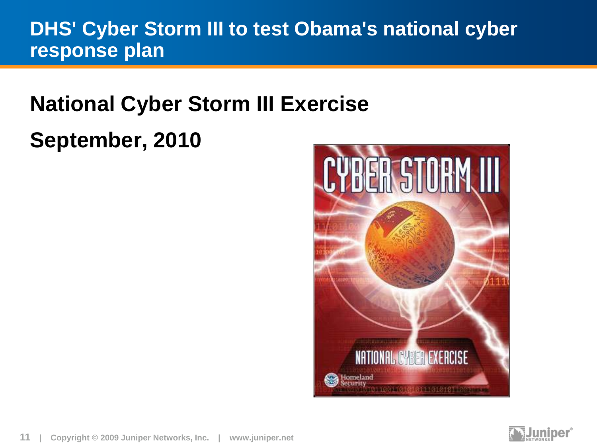### **DHS' Cyber Storm III to test Obama's national cyber response plan**

# **National Cyber Storm III Exercise**

## **September, 2010**